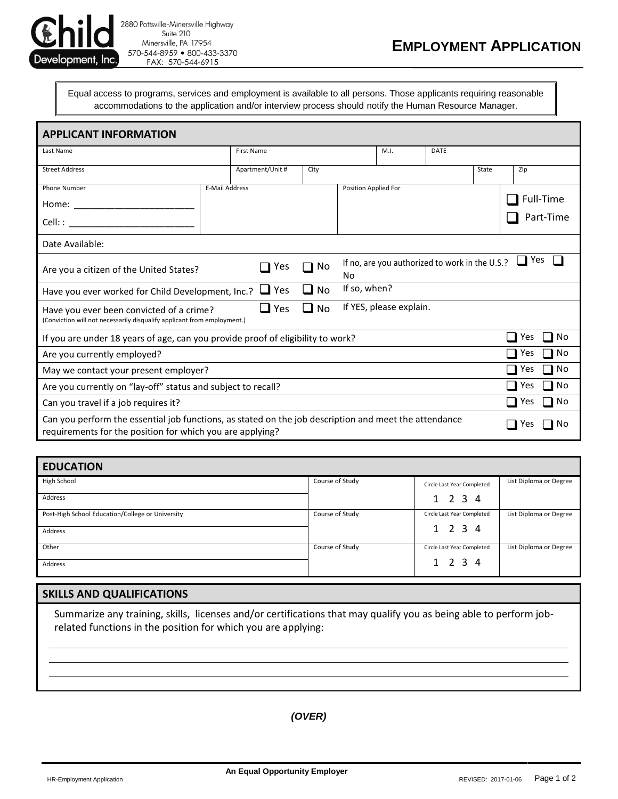

2880 Pottsville-Minersville Highway Suite 210 Minersville, PA 17954 570-544-8959 800-433-3370 FAX: 570-544-6915

## **EMPLOYMENT APPLICATION**

Equal access to programs, services and employment is available to all persons. Those applicants requiring reasonable accommodations to the application and/or interview process should notify the Human Resource Manager.

| <b>APPLICANT INFORMATION</b>                                                                                                                                                                                                                                       |                   |                  |      |                      |                                                |  |       |     |                        |
|--------------------------------------------------------------------------------------------------------------------------------------------------------------------------------------------------------------------------------------------------------------------|-------------------|------------------|------|----------------------|------------------------------------------------|--|-------|-----|------------------------|
| Last Name                                                                                                                                                                                                                                                          | <b>First Name</b> |                  |      | M.I.                 | <b>DATE</b>                                    |  |       |     |                        |
| <b>Street Address</b>                                                                                                                                                                                                                                              |                   | Apartment/Unit # | City |                      |                                                |  | State | Zip |                        |
| Phone Number<br>Home: __________<br>Cell: : and a set of the set of the set of the set of the set of the set of the set of the set of the set of the set of the set of the set of the set of the set of the set of the set of the set of the set of the set of the | E-Mail Address    |                  |      | Position Applied For |                                                |  |       |     | Full-Time<br>Part-Time |
| Date Available:                                                                                                                                                                                                                                                    |                   |                  |      |                      |                                                |  |       |     |                        |
| Yes<br>Are you a citizen of the United States?                                                                                                                                                                                                                     |                   |                  | No   | No                   | If no, are you authorized to work in the U.S.? |  |       | Yes |                        |
| If so, when?<br>Yes<br>No<br>$\Box$<br>Have you ever worked for Child Development, Inc.?                                                                                                                                                                           |                   |                  |      |                      |                                                |  |       |     |                        |
| If YES, please explain.<br>No<br>Yes<br>Have you ever been convicted of a crime?<br>(Conviction will not necessarily disqualify applicant from employment.)                                                                                                        |                   |                  |      |                      |                                                |  |       |     |                        |
| No<br>Yes<br>If you are under 18 years of age, can you provide proof of eligibility to work?                                                                                                                                                                       |                   |                  |      |                      |                                                |  |       |     |                        |
| Yes<br>Are you currently employed?                                                                                                                                                                                                                                 |                   |                  |      |                      | No                                             |  |       |     |                        |
| Yes<br>May we contact your present employer?                                                                                                                                                                                                                       |                   |                  |      |                      | No                                             |  |       |     |                        |
| No<br>Yes<br>Are you currently on "lay-off" status and subject to recall?                                                                                                                                                                                          |                   |                  |      |                      |                                                |  |       |     |                        |
| Yes<br>Can you travel if a job requires it?<br>- 1                                                                                                                                                                                                                 |                   |                  |      |                      | No                                             |  |       |     |                        |
| Can you perform the essential job functions, as stated on the job description and meet the attendance<br>No<br>Yes<br>requirements for the position for which you are applying?                                                                                    |                   |                  |      |                      |                                                |  |       |     |                        |

| <b>EDUCATION</b>                                 |                 |                            |                        |  |
|--------------------------------------------------|-----------------|----------------------------|------------------------|--|
| High School                                      | Course of Study | Circle Last Year Completed | List Diploma or Degree |  |
| Address                                          |                 | 1 2 3 4                    |                        |  |
| Post-High School Education/College or University | Course of Study | Circle Last Year Completed | List Diploma or Degree |  |
| Address                                          |                 | $1 \t2 \t3 \t4$            |                        |  |
| Other                                            | Course of Study | Circle Last Year Completed | List Diploma or Degree |  |
| Address                                          |                 | $1 \t2 \t3 \t4$            |                        |  |

## **SKILLS AND QUALIFICATIONS**

Summarize any training, skills, licenses and/or certifications that may qualify you as being able to perform jobrelated functions in the position for which you are applying:

*(OVER)*